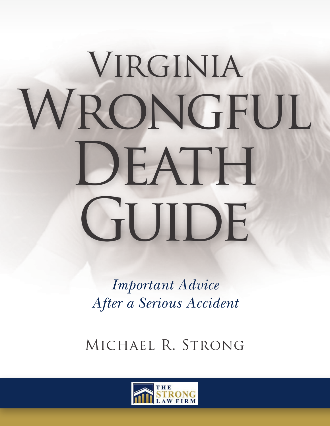# **VIRGINIA** WRONGFUL DEATH GUIDE

*Important Advice After a Serious Accident*

Michael R. Strong

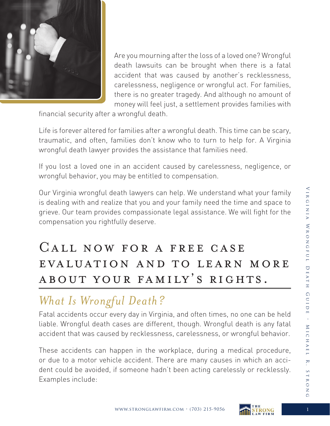

Are you mourning after the loss of a loved one? Wrongful death lawsuits can be brought when there is a fatal accident that was caused by another's recklessness, carelessness, negligence or wrongful act. For families, there is no greater tragedy. And although no amount of money will feel just, a settlement provides families with

financial security after a wrongful death.

Life is forever altered for families after a wrongful death. This time can be scary, traumatic, and often, families don't know who to turn to help for. A Virginia wrongful death lawyer provides the assistance that families need.

If you lost a loved one in an accident caused by carelessness, negligence, or wrongful behavior, you may be entitled to compensation.

Our Virginia wrongful death lawyers can help. We understand what your family is dealing with and realize that you and your family need the time and space to grieve. Our team provides compassionate legal assistance. We will fight for the compensation you rightfully deserve.

# Call now for a free case evaluation and to learn more about your family's rights.

## *What Is Wrongful Death?*

Fatal accidents occur every day in Virginia, and often times, no one can be held liable. Wrongful death cases are different, though. Wrongful death is any fatal accident that was caused by recklessness, carelessness, or wrongful behavior.

These accidents can happen in the workplace, during a medical procedure, or due to a motor vehicle accident. There are many causes in which an accident could be avoided, if someone hadn't been acting carelessly or recklessly. Examples include: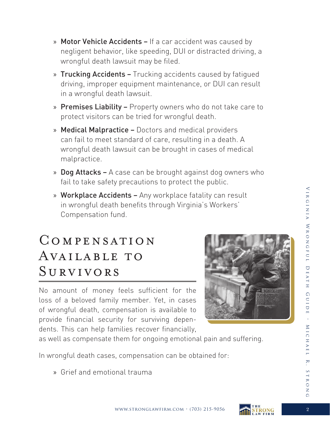Virginia Wrongful Death Guide • Michael R. Strong

EUIDE

 $\ddot{\phantom{a}}$ 

MICHAEL

R.

STRON

 $\Omega$ 

VIRGINIA WRONGFUL DEATH

www.stronglawfirm.com · (703) 215-9056  $\overline{\text{STRONG}}$  2

- » Motor Vehicle Accidents If a car accident was caused by negligent behavior, like speeding, DUI or distracted driving, a wrongful death lawsuit may be filed.
- » Trucking Accidents Trucking accidents caused by fatigued driving, improper equipment maintenance, or DUI can result in a wrongful death lawsuit.
- » Premises Liability Property owners who do not take care to protect visitors can be tried for wrongful death.
- » Medical Malpractice Doctors and medical providers can fail to meet standard of care, resulting in a death. A wrongful death lawsuit can be brought in cases of medical malpractice.
- » Dog Attacks A case can be brought against dog owners who fail to take safety precautions to protect the public.
- » Workplace Accidents Any workplace fatality can result in wrongful death benefits through Virginia's Workers' Compensation fund.

# Compensation AVAILABLE TO Survivors

No amount of money feels sufficient for the loss of a beloved family member. Yet, in cases of wrongful death, compensation is available to provide financial security for surviving dependents. This can help families recover financially,



as well as compensate them for ongoing emotional pain and suffering.

In wrongful death cases, compensation can be obtained for:

» Grief and emotional trauma

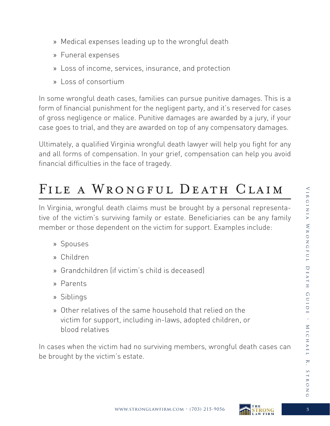- » Medical expenses leading up to the wrongful death
- » Funeral expenses
- » Loss of income, services, insurance, and protection
- » Loss of consortium

In some wrongful death cases, families can pursue punitive damages. This is a form of financial punishment for the negligent party, and it's reserved for cases of gross negligence or malice. Punitive damages are awarded by a jury, if your case goes to trial, and they are awarded on top of any compensatory damages.

Ultimately, a qualified Virginia wrongful death lawyer will help you fight for any and all forms of compensation. In your grief, compensation can help you avoid financial difficulties in the face of tragedy.

# FILE A WRONGFUL DEATH CLAIM

In Virginia, wrongful death claims must be brought by a personal representative of the victim's surviving family or estate. Beneficiaries can be any family member or those dependent on the victim for support. Examples include:

- » Spouses
- » Children
- » Grandchildren (if victim's child is deceased)
- » Parents
- » Siblings
- » Other relatives of the same household that relied on the victim for support, including in-laws, adopted children, or blood relatives

In cases when the victim had no surviving members, wrongful death cases can be brought by the victim's estate.

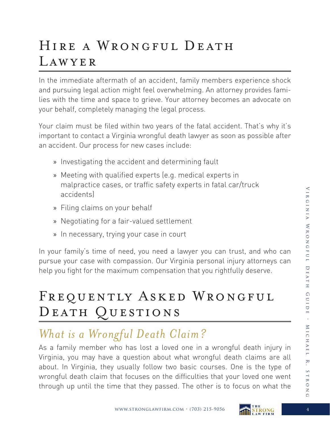# Hire a Wrongful Death Lawyer

In the immediate aftermath of an accident, family members experience shock and pursuing legal action might feel overwhelming. An attorney provides families with the time and space to grieve. Your attorney becomes an advocate on your behalf, completely managing the legal process.

Your claim must be filed within two years of the fatal accident. That's why it's important to contact a Virginia wrongful death lawyer as soon as possible after an accident. Our process for new cases include:

- » Investigating the accident and determining fault
- » Meeting with qualified experts (e.g. medical experts in malpractice cases, or traffic safety experts in fatal car/truck accidents)
- » Filing claims on your behalf
- » Negotiating for a fair-valued settlement
- » In necessary, trying your case in court

In your family's time of need, you need a lawyer you can trust, and who can pursue your case with compassion. Our Virginia personal injury attorneys can help you fight for the maximum compensation that you rightfully deserve.

# FREQUENTLY ASKED WRONGFUL DEATH QUESTIONS

# *What is a Wrongful Death Claim?*

As a family member who has lost a loved one in a wrongful death injury in Virginia, you may have a question about what wrongful death claims are all about. In Virginia, they usually follow two basic courses. One is the type of wrongful death claim that focuses on the difficulties that your loved one went through up until the time that they passed. The other is to focus on what the



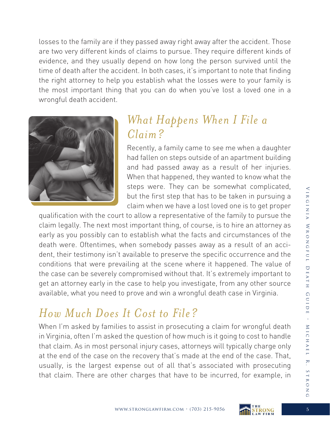losses to the family are if they passed away right away after the accident. Those are two very different kinds of claims to pursue. They require different kinds of evidence, and they usually depend on how long the person survived until the time of death after the accident. In both cases, it's important to note that finding the right attorney to help you establish what the losses were to your family is the most important thing that you can do when you've lost a loved one in a wrongful death accident.



#### *What Happens When I File a Claim?*

Recently, a family came to see me when a daughter had fallen on steps outside of an apartment building and had passed away as a result of her injuries. When that happened, they wanted to know what the steps were. They can be somewhat complicated, but the first step that has to be taken in pursuing a claim when we have a lost loved one is to get proper

qualification with the court to allow a representative of the family to pursue the claim legally. The next most important thing, of course, is to hire an attorney as early as you possibly can to establish what the facts and circumstances of the death were. Oftentimes, when somebody passes away as a result of an accident, their testimony isn't available to preserve the specific occurrence and the conditions that were prevailing at the scene where it happened. The value of the case can be severely compromised without that. It's extremely important to get an attorney early in the case to help you investigate, from any other source available, what you need to prove and win a wrongful death case in Virginia.

#### *How Much Does It Cost to File?*

When I'm asked by families to assist in prosecuting a claim for wrongful death in Virginia, often I'm asked the question of how much is it going to cost to handle that claim. As in most personal injury cases, attorneys will typically charge only at the end of the case on the recovery that's made at the end of the case. That, usually, is the largest expense out of all that's associated with prosecuting that claim. There are other charges that have to be incurred, for example, in

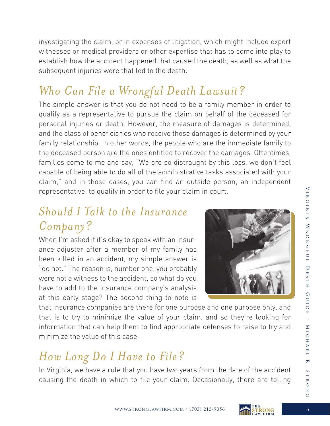investigating the claim, or in expenses of litigation, which might include expert witnesses or medical providers or other expertise that has to come into play to establish how the accident happened that caused the death, as well as what the subsequent injuries were that led to the death.

# *Who Can File a Wrongful Death Lawsuit?*

The simple answer is that you do not need to be a family member in order to qualify as a representative to pursue the claim on behalf of the deceased for personal injuries or death. However, the measure of damages is determined, and the class of beneficiaries who receive those damages is determined by your family relationship. In other words, the people who are the immediate family to the deceased person are the ones entitled to recover the damages. Oftentimes, families come to me and say, "We are so distraught by this loss, we don't feel capable of being able to do all of the administrative tasks associated with your claim," and in those cases, you can find an outside person, an independent representative, to qualify in order to file your claim in court.

#### *Should I Talk to the Insurance Company?*

When I'm asked if it's okay to speak with an insurance adjuster after a member of my family has been killed in an accident, my simple answer is "do not." The reason is, number one, you probably were not a witness to the accident, so what do you have to add to the insurance company's analysis at this early stage? The second thing to note is



that insurance companies are there for one purpose and one purpose only, and that is to try to minimize the value of your claim, and so they're looking for information that can help them to find appropriate defenses to raise to try and minimize the value of this case.

## *How Long Do I Have to File?*

In Virginia, we have a rule that you have two years from the date of the accident causing the death in which to file your claim. Occasionally, there are tolling





STRON

 $\Omega$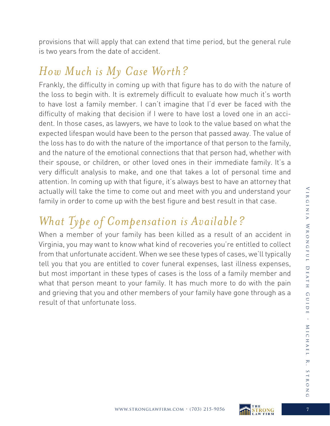provisions that will apply that can extend that time period, but the general rule is two years from the date of accident.

#### *How Much is My Case Worth?*

Frankly, the difficulty in coming up with that figure has to do with the nature of the loss to begin with. It is extremely difficult to evaluate how much it's worth to have lost a family member. I can't imagine that I'd ever be faced with the difficulty of making that decision if I were to have lost a loved one in an accident. In those cases, as lawyers, we have to look to the value based on what the expected lifespan would have been to the person that passed away. The value of the loss has to do with the nature of the importance of that person to the family, and the nature of the emotional connections that that person had, whether with their spouse, or children, or other loved ones in their immediate family. It's a very difficult analysis to make, and one that takes a lot of personal time and attention. In coming up with that figure, it's always best to have an attorney that actually will take the time to come out and meet with you and understand your family in order to come up with the best figure and best result in that case.

# *What Type of Compensation is Available?*

When a member of your family has been killed as a result of an accident in Virginia, you may want to know what kind of recoveries you're entitled to collect from that unfortunate accident. When we see these types of cases, we'll typically tell you that you are entitled to cover funeral expenses, last illness expenses, but most important in these types of cases is the loss of a family member and what that person meant to your family. It has much more to do with the pain and grieving that you and other members of your family have gone through as a result of that unfortunate loss.



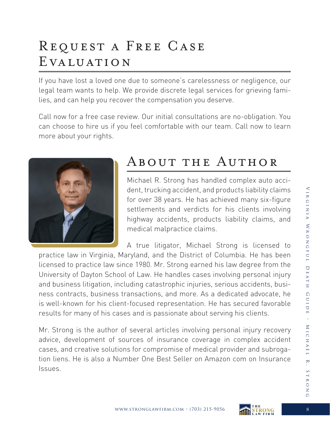# Request a Free Case Evaluation

If you have lost a loved one due to someone's carelessness or negligence, our legal team wants to help. We provide discrete legal services for grieving families, and can help you recover the compensation you deserve.

Call now for a free case review. Our initial consultations are no-obligation. You can choose to hire us if you feel comfortable with our team. Call now to learn more about your rights.



# About the Author

Michael R. Strong has handled complex auto accident, trucking accident, and products liability claims for over 38 years. He has achieved many six-figure settlements and verdicts for his clients involving highway accidents, products liability claims, and medical malpractice claims.

A true litigator, Michael Strong is licensed to practice law in Virginia, Maryland, and the District of Columbia. He has been licensed to practice law since 1980. Mr. Strong earned his law degree from the University of Dayton School of Law. He handles cases involving personal injury and business litigation, including catastrophic injuries, serious accidents, business contracts, business transactions, and more. As a dedicated advocate, he is well-known for his client-focused representation. He has secured favorable results for many of his cases and is passionate about serving his clients.

Mr. Strong is the author of several articles involving personal injury recovery advice, development of sources of insurance coverage in complex accident cases, and creative solutions for compromise of medical provider and subrogation liens. He is also a Number One Best Seller on Amazon com on Insurance Issues.